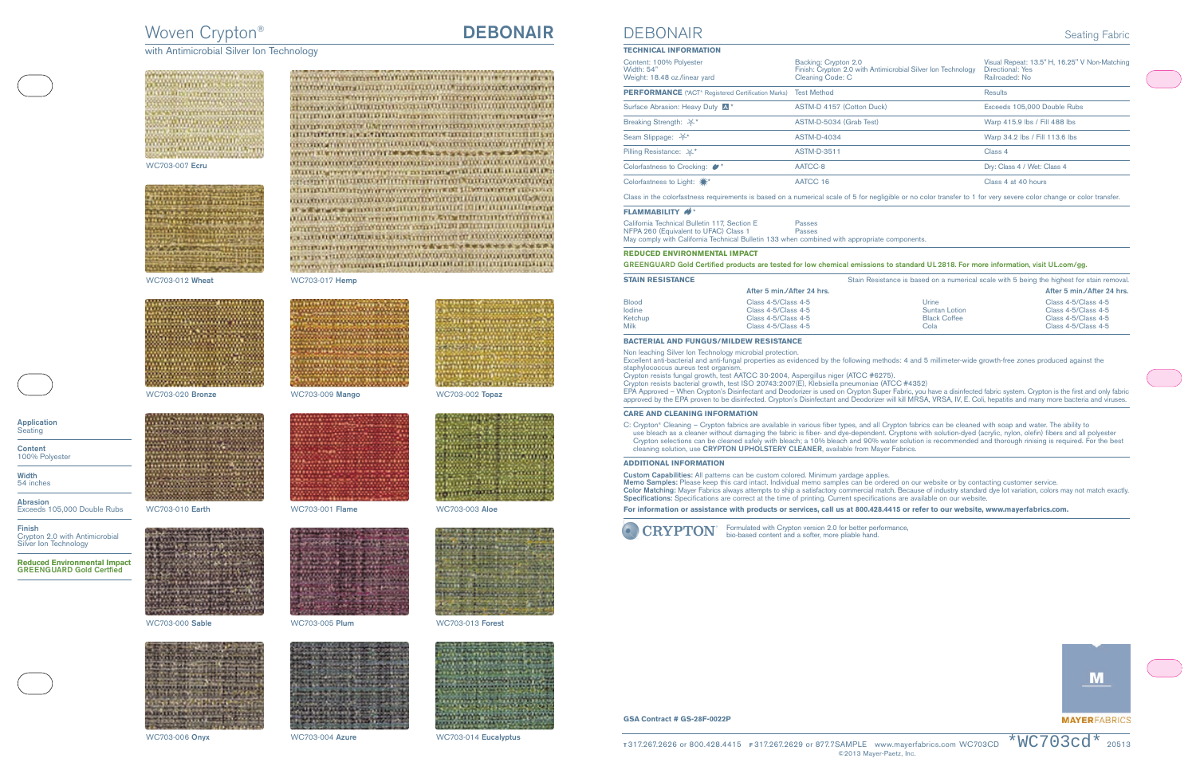# Woven Crypton® **DEBONAIR**

with Antimicrobial Silver Ion Technology



WC703-007 **Ecru**



WC703-012 **Wheat** WC703-017 **Hemp**



WC703-020 **Bronze** WC703-009 **Mango** WC703-002 **Topaz**



WC703-010 **Earth** WC703-001 **Flame** WC703-003 **Aloe**



WC703-000 **Sable** WC703-005 **Plum** WC703-013 **Forest**





















WC703-006 **Onyx** WC703-004 **Azure** WC703-014 **Eucalyptus**



**Application Seating** 

**Content** 100% Polyester

**Width** 54 inches

**Abrasion** Exceeds 105,000 Double Rubs

**Finish** Crypton 2.0 with Antimicrobial Silver Ion Technology

**Reduced Environmental Impact GREENGUARD Gold Certfied**